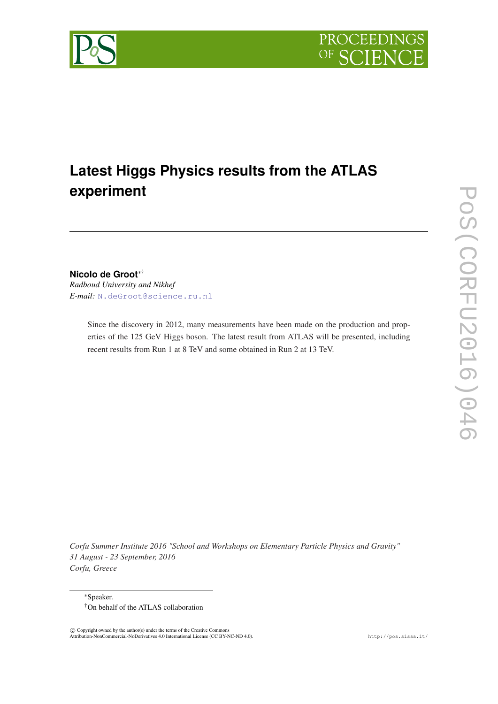

# **Latest Higgs Physics results from the ATLAS experiment**

**Nicolo de Groot**∗†

*Radboud University and Nikhef E-mail:* [N.deGroot@science.ru.nl](mailto:N.deGroot@science.ru.nl)

> Since the discovery in 2012, many measurements have been made on the production and properties of the 125 GeV Higgs boson. The latest result from ATLAS will be presented, including recent results from Run 1 at 8 TeV and some obtained in Run 2 at 13 TeV.

*Corfu Summer Institute 2016 "School and Workshops on Elementary Particle Physics and Gravity" 31 August - 23 September, 2016 Corfu, Greece*

<sup>∗</sup>Speaker. †On behalf of the ATLAS collaboration

 c Copyright owned by the author(s) under the terms of the Creative Commons Attribution-NonCommercial-NoDerivatives 4.0 International License (CC BY-NC-ND 4.0). http://pos.sissa.it/

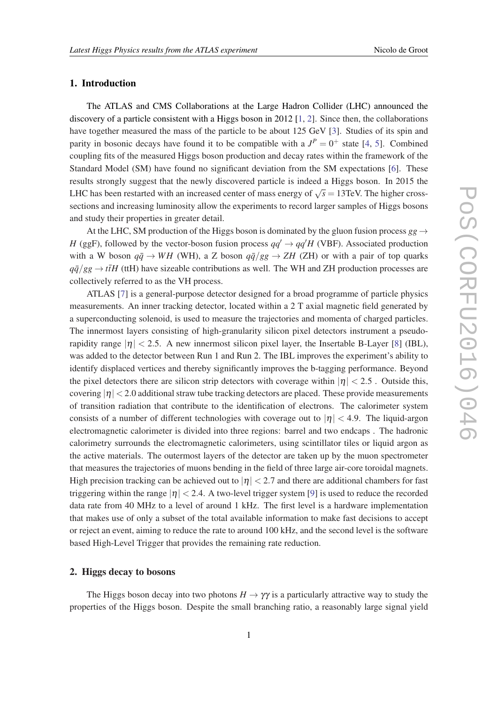# 1. Introduction

The ATLAS and CMS Collaborations at the Large Hadron Collider (LHC) announced the discovery of a particle consistent with a Higgs boson in 2012 [\[1,](#page-8-0) [2\]](#page-8-0). Since then, the collaborations have together measured the mass of the particle to be about 125 GeV [[3](#page-8-0)]. Studies of its spin and parity in bosonic decays have found it to be compatible with a  $J^P = 0^+$  state [[4](#page-8-0), [5\]](#page-8-0). Combined coupling fits of the measured Higgs boson production and decay rates within the framework of the Standard Model (SM) have found no significant deviation from the SM expectations [[6](#page-8-0)]. These results strongly suggest that the newly discovered particle is indeed a Higgs boson. In 2015 the LHC has been restarted with an increased center of mass energy of  $\sqrt{s} = 13$ TeV. The higher crosssections and increasing luminosity allow the experiments to record larger samples of Higgs bosons and study their properties in greater detail.

At the LHC, SM production of the Higgs boson is dominated by the gluon fusion process  $gg \rightarrow$ *H* (ggF), followed by the vector-boson fusion process  $qq' \rightarrow qq'H$  (VBF). Associated production with a W boson  $q\bar{q} \rightarrow WH$  (WH), a Z boson  $q\bar{q}/gg \rightarrow ZH$  (ZH) or with a pair of top quarks  $q\bar{q}/gg \rightarrow t\bar{t}H$  (ttH) have sizeable contributions as well. The WH and ZH production processes are collectively referred to as the VH process.

ATLAS [\[7\]](#page-8-0) is a general-purpose detector designed for a broad programme of particle physics measurements. An inner tracking detector, located within a 2 T axial magnetic field generated by a superconducting solenoid, is used to measure the trajectories and momenta of charged particles. The innermost layers consisting of high-granularity silicon pixel detectors instrument a pseudorapidity range  $|\eta| < 2.5$ . A new innermost silicon pixel layer, the Insertable B-Layer [[8](#page-8-0)] (IBL), was added to the detector between Run 1 and Run 2. The IBL improves the experiment's ability to identify displaced vertices and thereby significantly improves the b-tagging performance. Beyond the pixel detectors there are silicon strip detectors with coverage within  $|\eta| < 2.5$ . Outside this, covering  $|\eta| < 2.0$  additional straw tube tracking detectors are placed. These provide measurements of transition radiation that contribute to the identification of electrons. The calorimeter system consists of a number of different technologies with coverage out to  $|\eta| < 4.9$ . The liquid-argon electromagnetic calorimeter is divided into three regions: barrel and two endcaps . The hadronic calorimetry surrounds the electromagnetic calorimeters, using scintillator tiles or liquid argon as the active materials. The outermost layers of the detector are taken up by the muon spectrometer that measures the trajectories of muons bending in the field of three large air-core toroidal magnets. High precision tracking can be achieved out to  $|\eta| < 2.7$  and there are additional chambers for fast triggering within the range  $|\eta| < 2.4$ . A two-level trigger system [[9](#page-8-0)] is used to reduce the recorded data rate from 40 MHz to a level of around 1 kHz. The first level is a hardware implementation that makes use of only a subset of the total available information to make fast decisions to accept or reject an event, aiming to reduce the rate to around 100 kHz, and the second level is the software based High-Level Trigger that provides the remaining rate reduction.

## 2. Higgs decay to bosons

The Higgs boson decay into two photons  $H \to \gamma \gamma$  is a particularly attractive way to study the properties of the Higgs boson. Despite the small branching ratio, a reasonably large signal yield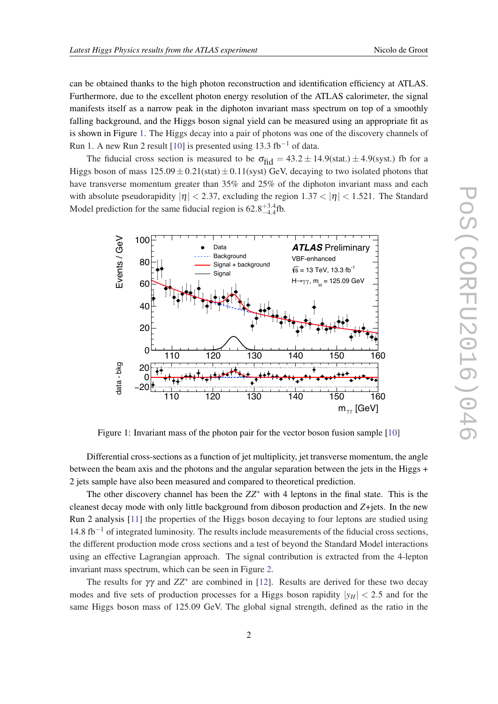can be obtained thanks to the high photon reconstruction and identification efficiency at ATLAS. Furthermore, due to the excellent photon energy resolution of the ATLAS calorimeter, the signal manifests itself as a narrow peak in the diphoton invariant mass spectrum on top of a smoothly falling background, and the Higgs boson signal yield can be measured using an appropriate fit as is shown in Figure 1. The Higgs decay into a pair of photons was one of the discovery channels of Run 1. A new Run 2 result [[10\]](#page-8-0) is presented using 13.3 fb<sup>-1</sup> of data.

The fiducial cross section is measured to be  $\sigma_{\text{fid}} = 43.2 \pm 14.9 \text{(stat.)} \pm 4.9 \text{(syst.)}$  fb for a Higgs boson of mass  $125.09 \pm 0.21$ (stat)  $\pm 0.11$ (syst) GeV, decaying to two isolated photons that have transverse momentum greater than 35% and 25% of the diphoton invariant mass and each with absolute pseudorapidity  $|\eta| < 2.37$ , excluding the region  $1.37 < |\eta| < 1.521$ . The Standard Model prediction for the same fiducial region is  $62.8^{+3.4}_{-4.4}$  fb.



Figure 1: Invariant mass of the photon pair for the vector boson fusion sample [[10\]](#page-8-0)

Differential cross-sections as a function of jet multiplicity, jet transverse momentum, the angle between the beam axis and the photons and the angular separation between the jets in the Higgs + 2 jets sample have also been measured and compared to theoretical prediction.

The other discovery channel has been the *ZZ*<sup>∗</sup> with 4 leptons in the final state. This is the cleanest decay mode with only little background from diboson production and *Z*+jets. In the new Run 2 analysis [[11\]](#page-8-0) the properties of the Higgs boson decaying to four leptons are studied using 14.8 fb−<sup>1</sup> of integrated luminosity. The results include measurements of the fiducial cross sections, the different production mode cross sections and a test of beyond the Standard Model interactions using an effective Lagrangian approach. The signal contribution is extracted from the 4-lepton invariant mass spectrum, which can be seen in Figure [2](#page-3-0).

The results for  $\gamma\gamma$  and  $ZZ^*$  are combined in [[12\]](#page-8-0). Results are derived for these two decay modes and five sets of production processes for a Higgs boson rapidity  $|y_H| < 2.5$  and for the same Higgs boson mass of 125.09 GeV. The global signal strength, defined as the ratio in the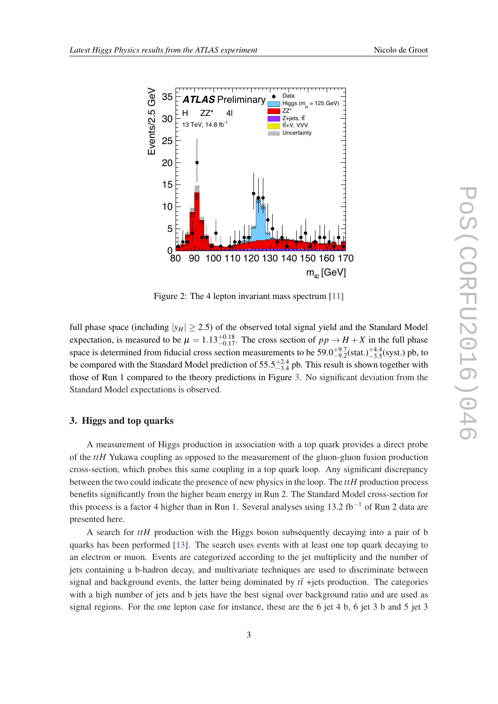<span id="page-3-0"></span>

Figure 2: The 4 lepton invariant mass spectrum [[11\]](#page-8-0)

full phase space (including  $|y_H| \ge 2.5$ ) of the observed total signal yield and the Standard Model expectation, is measured to be  $\mu = 1.13_{-0.17}^{+0.18}$ . The cross section of  $pp \rightarrow H + X$  in the full phase space is determined from fiducial cross section measurements to be  $59.0^{+9.7}_{-9.2}$ (stat.) $^{+4.4}_{-3.5}$ (syst.) pb, to be compared with the Standard Model prediction of  $55.5^{+2.4}_{-3.4}$  pb. This result is shown together with those of Run 1 compared to the theory predictions in Figure [3.](#page-4-0) No significant deviation from the Standard Model expectations is observed.

#### 3. Higgs and top quarks

A measurement of Higgs production in association with a top quark provides a direct probe of the *ttH* Yukawa coupling as opposed to the measurement of the gluon-gluon fusion production cross-section, which probes this same coupling in a top quark loop. Any significant discrepancy between the two could indicate the presence of new physics in the loop. The *ttH* production process benefits significantly from the higher beam energy in Run 2. The Standard Model cross-section for this process is a factor 4 higher than in Run 1. Several analyses using  $13.2 \text{ fb}^{-1}$  of Run 2 data are presented here.

A search for *ttH* production with the Higgs boson subsequently decaying into a pair of b quarks has been performed [\[13](#page-9-0)]. The search uses events with at least one top quark decaying to an electron or muon. Events are categorized according to the jet multiplicity and the number of jets containing a b-hadron decay, and multivariate techniques are used to discriminate between signal and background events, the latter being dominated by  $t\bar{t}$  +jets production. The categories with a high number of jets and b jets have the best signal over background ratio and are used as signal regions. For the one lepton case for instance, these are the 6 jet 4 b, 6 jet 3 b and 5 jet 3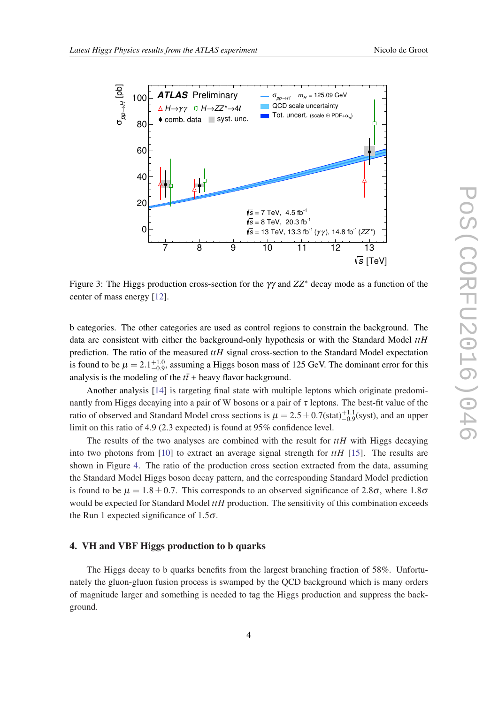<span id="page-4-0"></span>

Figure 3: The Higgs production cross-section for the  $\gamma\gamma$  and  $ZZ^*$  decay mode as a function of the center of mass energy [[12\]](#page-8-0).

b categories. The other categories are used as control regions to constrain the background. The data are consistent with either the background-only hypothesis or with the Standard Model *ttH* prediction. The ratio of the measured *ttH* signal cross-section to the Standard Model expectation is found to be  $\mu = 2.1^{+1.0}_{-0.9}$ , assuming a Higgs boson mass of 125 GeV. The dominant error for this analysis is the modeling of the  $t\bar{t}$  + heavy flavor background.

Another analysis [\[14\]](#page-9-0) is targeting final state with multiple leptons which originate predominantly from Higgs decaying into a pair of W bosons or a pair of  $\tau$  leptons. The best-fit value of the ratio of observed and Standard Model cross sections is  $\mu = 2.5 \pm 0.7$ (stat) $^{+1.1}_{-0.9}$ (syst), and an upper limit on this ratio of 4.9 (2.3 expected) is found at 95% confidence level.

The results of the two analyses are combined with the result for *ttH* with Higgs decaying into two photons from [[10\]](#page-8-0) to extract an average signal strength for *ttH* [[15\]](#page-9-0). The results are shown in Figure [4](#page-5-0). The ratio of the production cross section extracted from the data, assuming the Standard Model Higgs boson decay pattern, and the corresponding Standard Model prediction is found to be  $\mu = 1.8 \pm 0.7$ . This corresponds to an observed significance of 2.8 $\sigma$ , where 1.8 $\sigma$ would be expected for Standard Model *ttH* production. The sensitivity of this combination exceeds the Run 1 expected significance of  $1.5\sigma$ .

#### 4. VH and VBF Higgs production to b quarks

The Higgs decay to b quarks benefits from the largest branching fraction of 58%. Unfortunately the gluon-gluon fusion process is swamped by the QCD background which is many orders of magnitude larger and something is needed to tag the Higgs production and suppress the background.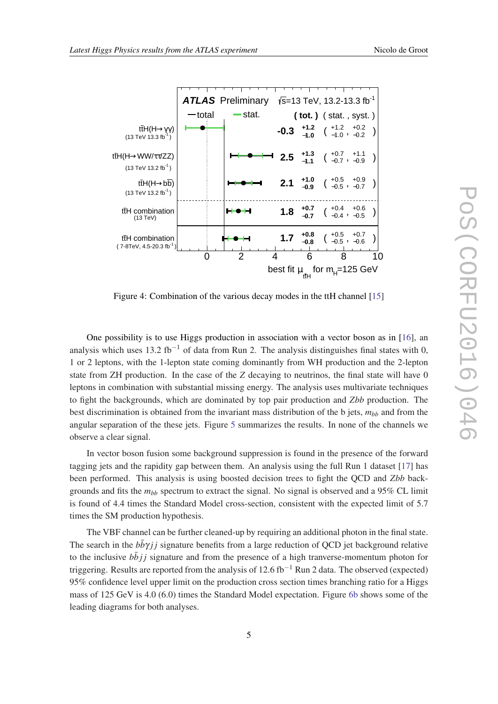<span id="page-5-0"></span>

Figure 4: Combination of the various decay modes in the ttH channel [[15\]](#page-9-0)

One possibility is to use Higgs production in association with a vector boson as in [[16](#page-9-0)], an analysis which uses 13.2 fb<sup>-1</sup> of data from Run 2. The analysis distinguishes final states with 0, 1 or 2 leptons, with the 1-lepton state coming dominantly from WH production and the 2-lepton state from ZH production. In the case of the *Z* decaying to neutrinos, the final state will have 0 leptons in combination with substantial missing energy. The analysis uses multivariate techniques to fight the backgrounds, which are dominated by top pair production and *Zbb* production. The best discrimination is obtained from the invariant mass distribution of the b jets,  $m_{bb}$  and from the angular separation of the these jets. Figure [5](#page-6-0) summarizes the results. In none of the channels we observe a clear signal.

In vector boson fusion some background suppression is found in the presence of the forward tagging jets and the rapidity gap between them. An analysis using the full Run 1 dataset [[17\]](#page-9-0) has been performed. This analysis is using boosted decision trees to fight the QCD and *Zbb* backgrounds and fits the  $m_{bb}$  spectrum to extract the signal. No signal is observed and a 95% CL limit is found of 4.4 times the Standard Model cross-section, consistent with the expected limit of 5.7 times the SM production hypothesis.

The VBF channel can be further cleaned-up by requiring an additional photon in the final state. The search in the  $b\bar{b}\gamma j j$  signature benefits from a large reduction of QCD jet background relative to the inclusive  $b\bar{b}j\bar{j}$  signature and from the presence of a high tranverse-momentum photon for triggering. Results are reported from the analysis of 12.6 fb<sup>-1</sup> Run 2 data. The observed (expected) 95% confidence level upper limit on the production cross section times branching ratio for a Higgs mass of 125 GeV is 4.0 (6.0) times the Standard Model expectation. Figure [6b](#page-6-0) shows some of the leading diagrams for both analyses.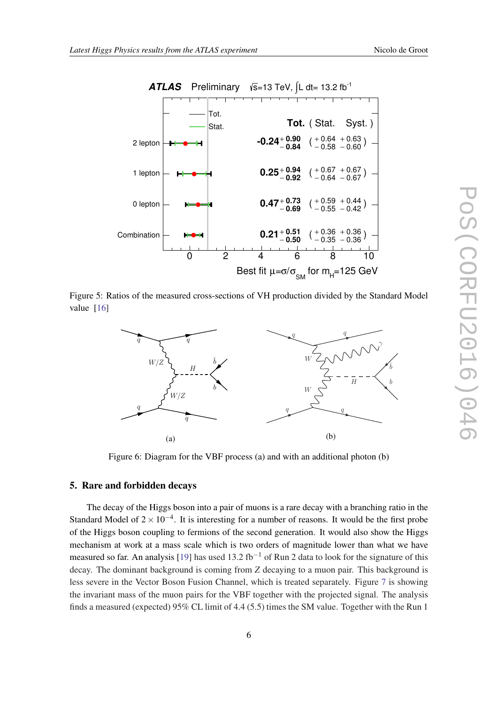<span id="page-6-0"></span>

Figure 5: Ratios of the measured cross-sections of VH production divided by the Standard Model value [[16\]](#page-9-0)



Figure 6: Diagram for the VBF process (a) and with an additional photon (b)

#### 5. Rare and forbidden decays

The decay of the Higgs boson into a pair of muons is a rare decay with a branching ratio in the Standard Model of  $2 \times 10^{-4}$ . It is interesting for a number of reasons. It would be the first probe of the Higgs boson coupling to fermions of the second generation. It would also show the Higgs mechanism at work at a mass scale which is two orders of magnitude lower than what we have measured so far. An analysis [[19\]](#page-9-0) has used 13.2 fb<sup>-1</sup> of Run 2 data to look for the signature of this decay. The dominant background is coming from *Z* decaying to a muon pair. This background is less severe in the Vector Boson Fusion Channel, which is treated separately. Figure [7](#page-7-0) is showing the invariant mass of the muon pairs for the VBF together with the projected signal. The analysis finds a measured (expected) 95% CL limit of 4.4 (5.5) times the SM value. Together with the Run 1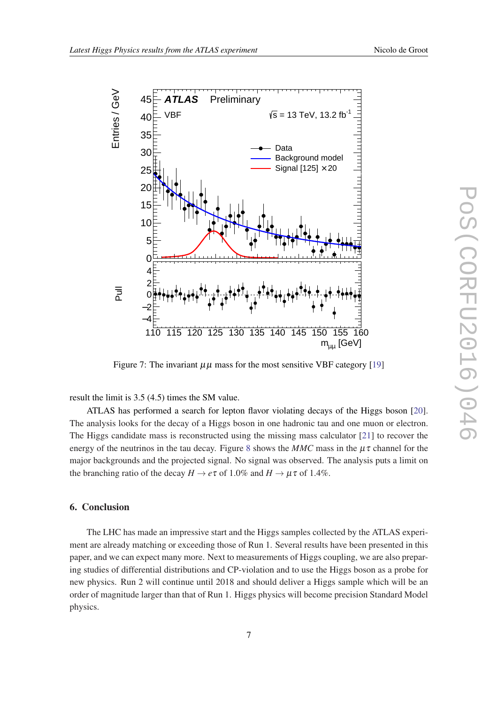<span id="page-7-0"></span>

Figure 7: The invariant  $\mu\mu$  mass for the most sensitive VBF category [\[19\]](#page-9-0)

result the limit is 3.5 (4.5) times the SM value.

ATLAS has performed a search for lepton flavor violating decays of the Higgs boson [[20\]](#page-9-0). The analysis looks for the decay of a Higgs boson in one hadronic tau and one muon or electron. The Higgs candidate mass is reconstructed using the missing mass calculator [[21\]](#page-9-0) to recover the energy of the neutrinos in the tau decay. Figure [8](#page-8-0) shows the  $MMC$  mass in the  $\mu\tau$  channel for the major backgrounds and the projected signal. No signal was observed. The analysis puts a limit on the branching ratio of the decay  $H \to e\tau$  of 1.0% and  $H \to \mu \tau$  of 1.4%.

## 6. Conclusion

The LHC has made an impressive start and the Higgs samples collected by the ATLAS experiment are already matching or exceeding those of Run 1. Several results have been presented in this paper, and we can expect many more. Next to measurements of Higgs coupling, we are also preparing studies of differential distributions and CP-violation and to use the Higgs boson as a probe for new physics. Run 2 will continue until 2018 and should deliver a Higgs sample which will be an order of magnitude larger than that of Run 1. Higgs physics will become precision Standard Model physics.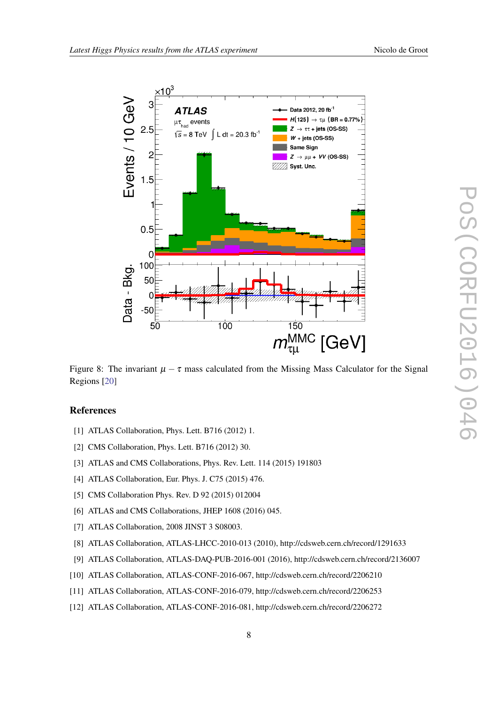<span id="page-8-0"></span>

Figure 8: The invariant  $\mu - \tau$  mass calculated from the Missing Mass Calculator for the Signal Regions [\[20](#page-9-0)]

## References

- [1] ATLAS Collaboration, Phys. Lett. B716 (2012) 1.
- [2] CMS Collaboration, Phys. Lett. B716 (2012) 30.
- [3] ATLAS and CMS Collaborations, Phys. Rev. Lett. 114 (2015) 191803
- [4] ATLAS Collaboration, Eur. Phys. J. C75 (2015) 476.
- [5] CMS Collaboration Phys. Rev. D 92 (2015) 012004
- [6] ATLAS and CMS Collaborations, JHEP 1608 (2016) 045.
- [7] ATLAS Collaboration, 2008 JINST 3 S08003.
- [8] ATLAS Collaboration, ATLAS-LHCC-2010-013 (2010), http://cdsweb.cern.ch/record/1291633
- [9] ATLAS Collaboration, ATLAS-DAQ-PUB-2016-001 (2016), http://cdsweb.cern.ch/record/2136007
- [10] ATLAS Collaboration, ATLAS-CONF-2016-067, http://cdsweb.cern.ch/record/2206210
- [11] ATLAS Collaboration, ATLAS-CONF-2016-079, http://cdsweb.cern.ch/record/2206253
- [12] ATLAS Collaboration, ATLAS-CONF-2016-081, http://cdsweb.cern.ch/record/2206272